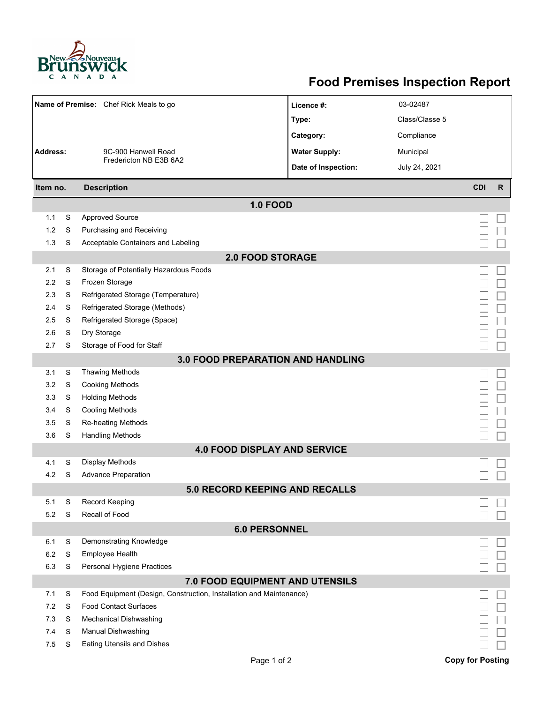

## **Food Premises Inspection Report**

|                                          |   | Name of Premise: Chef Rick Meals to go                              | Licence #:           | 03-02487       |                         |              |  |  |  |
|------------------------------------------|---|---------------------------------------------------------------------|----------------------|----------------|-------------------------|--------------|--|--|--|
|                                          |   |                                                                     | Type:                | Class/Classe 5 |                         |              |  |  |  |
|                                          |   |                                                                     | Category:            | Compliance     |                         |              |  |  |  |
| <b>Address:</b>                          |   | 9C-900 Hanwell Road                                                 | <b>Water Supply:</b> | Municipal      |                         |              |  |  |  |
|                                          |   | Fredericton NB E3B 6A2                                              | Date of Inspection:  | July 24, 2021  |                         |              |  |  |  |
|                                          |   |                                                                     |                      |                |                         |              |  |  |  |
| Item no.                                 |   | <b>Description</b>                                                  |                      |                | <b>CDI</b>              | $\mathsf{R}$ |  |  |  |
|                                          |   |                                                                     | <b>1.0 FOOD</b>      |                |                         |              |  |  |  |
| 1.1                                      | S | <b>Approved Source</b>                                              |                      |                |                         |              |  |  |  |
| 1.2                                      | S | Purchasing and Receiving                                            |                      |                |                         |              |  |  |  |
| 1.3                                      | S | Acceptable Containers and Labeling                                  |                      |                |                         |              |  |  |  |
| <b>2.0 FOOD STORAGE</b>                  |   |                                                                     |                      |                |                         |              |  |  |  |
| 2.1                                      | S | Storage of Potentially Hazardous Foods                              |                      |                |                         |              |  |  |  |
| 2.2                                      | S | Frozen Storage                                                      |                      |                |                         |              |  |  |  |
| 2.3                                      | S | Refrigerated Storage (Temperature)                                  |                      |                |                         |              |  |  |  |
| 2.4                                      | S | Refrigerated Storage (Methods)                                      |                      |                |                         |              |  |  |  |
| 2.5                                      | S | Refrigerated Storage (Space)                                        |                      |                |                         |              |  |  |  |
| 2.6                                      | S | Dry Storage                                                         |                      |                |                         |              |  |  |  |
| 2.7                                      | S | Storage of Food for Staff                                           |                      |                |                         |              |  |  |  |
| <b>3.0 FOOD PREPARATION AND HANDLING</b> |   |                                                                     |                      |                |                         |              |  |  |  |
| 3.1                                      | S | Thawing Methods                                                     |                      |                |                         |              |  |  |  |
| 3.2                                      | S | <b>Cooking Methods</b>                                              |                      |                |                         |              |  |  |  |
| 3.3                                      | S | <b>Holding Methods</b>                                              |                      |                |                         |              |  |  |  |
| 3.4                                      | S | <b>Cooling Methods</b>                                              |                      |                |                         |              |  |  |  |
| 3.5                                      | S | Re-heating Methods                                                  |                      |                |                         |              |  |  |  |
| 3.6                                      | S | <b>Handling Methods</b>                                             |                      |                |                         |              |  |  |  |
| <b>4.0 FOOD DISPLAY AND SERVICE</b>      |   |                                                                     |                      |                |                         |              |  |  |  |
| 4.1                                      | S | Display Methods                                                     |                      |                |                         |              |  |  |  |
| 4.2                                      | S | <b>Advance Preparation</b>                                          |                      |                |                         |              |  |  |  |
| 50 RECORD KEEPING AND RECALLS            |   |                                                                     |                      |                |                         |              |  |  |  |
| 5.1                                      | S | <b>Record Keeping</b>                                               |                      |                |                         |              |  |  |  |
| 5.2                                      | S | Recall of Food                                                      |                      |                |                         |              |  |  |  |
| <b>6.0 PERSONNEL</b>                     |   |                                                                     |                      |                |                         |              |  |  |  |
| 6.1                                      | S | Demonstrating Knowledge                                             |                      |                |                         |              |  |  |  |
| 6.2                                      | S | Employee Health                                                     |                      |                |                         |              |  |  |  |
| 6.3                                      | S | Personal Hygiene Practices                                          |                      |                |                         |              |  |  |  |
| 7.0 FOOD EQUIPMENT AND UTENSILS          |   |                                                                     |                      |                |                         |              |  |  |  |
| 7.1                                      | S | Food Equipment (Design, Construction, Installation and Maintenance) |                      |                |                         |              |  |  |  |
| 7.2                                      | S | <b>Food Contact Surfaces</b>                                        |                      |                |                         |              |  |  |  |
| 7.3                                      | S | <b>Mechanical Dishwashing</b>                                       |                      |                |                         |              |  |  |  |
| 7.4                                      | S | Manual Dishwashing                                                  |                      |                |                         |              |  |  |  |
| 7.5                                      | S | <b>Eating Utensils and Dishes</b>                                   |                      |                |                         |              |  |  |  |
|                                          |   |                                                                     | Page 1 of 2          |                | <b>Copy for Posting</b> |              |  |  |  |